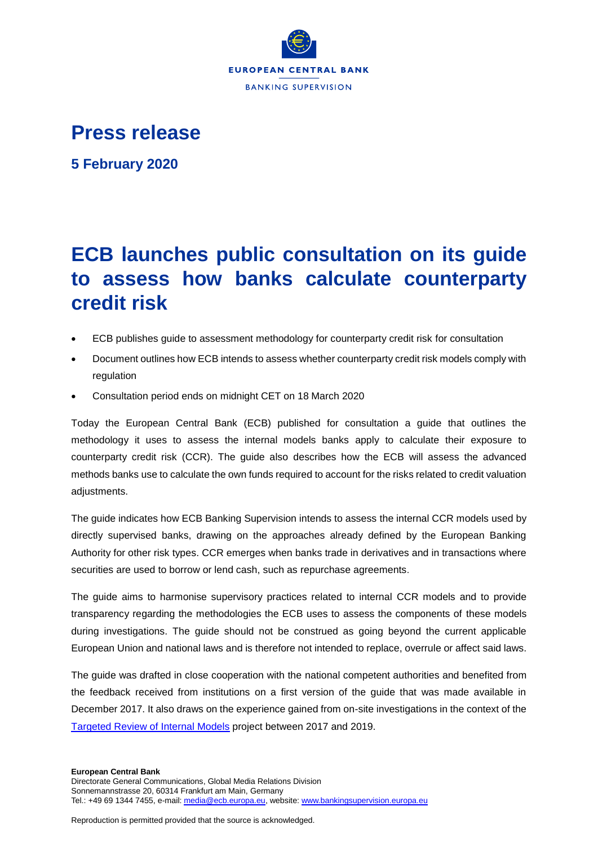

## **Press release**

**5 February 2020**

## **ECB launches public consultation on its guide to assess how banks calculate counterparty credit risk**

- ECB publishes guide to assessment methodology for counterparty credit risk for consultation
- Document outlines how ECB intends to assess whether counterparty credit risk models comply with regulation
- Consultation period ends on midnight CET on 18 March 2020

Today the European Central Bank (ECB) published for consultation a guide that outlines the methodology it uses to assess the internal models banks apply to calculate their exposure to counterparty credit risk (CCR). The guide also describes how the ECB will assess the advanced methods banks use to calculate the own funds required to account for the risks related to credit valuation adjustments.

The guide indicates how ECB Banking Supervision intends to assess the internal CCR models used by directly supervised banks, drawing on the approaches already defined by the European Banking Authority for other risk types. CCR emerges when banks trade in derivatives and in transactions where securities are used to borrow or lend cash, such as repurchase agreements.

The guide aims to harmonise supervisory practices related to internal CCR models and to provide transparency regarding the methodologies the ECB uses to assess the components of these models during investigations. The guide should not be construed as going beyond the current applicable European Union and national laws and is therefore not intended to replace, overrule or affect said laws.

The guide was drafted in close cooperation with the national competent authorities and benefited from the feedback received from institutions on a first version of the guide that was made available in December 2017. It also draws on the experience gained from on-site investigations in the context of the [Targeted Review of Internal Models](https://www.bankingsupervision.europa.eu/about/ssmexplained/html/trim.en.html) project between 2017 and 2019.

Reproduction is permitted provided that the source is acknowledged.